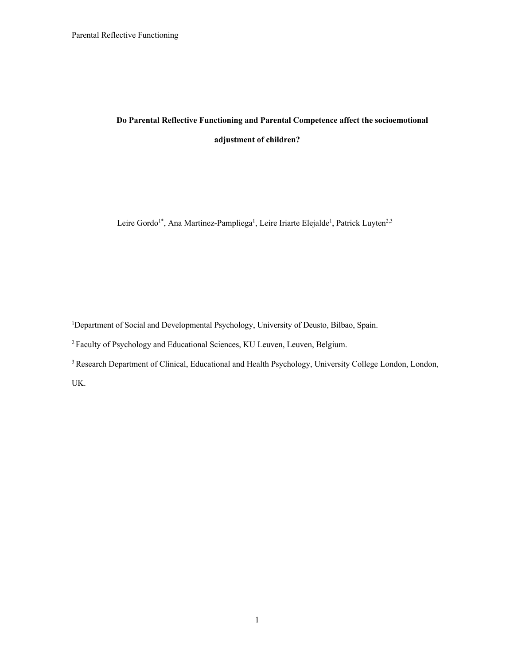# **Do Parental Reflective Functioning and Parental Competence affect the socioemotional adjustment of children?**

Leire Gordo<sup>1\*</sup>, Ana Martínez-Pampliega<sup>1</sup>, Leire Iriarte Elejalde<sup>1</sup>, Patrick Luyten<sup>2,3</sup>

<sup>1</sup>Department of Social and Developmental Psychology, University of Deusto, Bilbao, Spain.

2 Faculty of Psychology and Educational Sciences, KU Leuven, Leuven, Belgium.

<sup>3</sup> Research Department of Clinical, Educational and Health Psychology, University College London, London,

UK.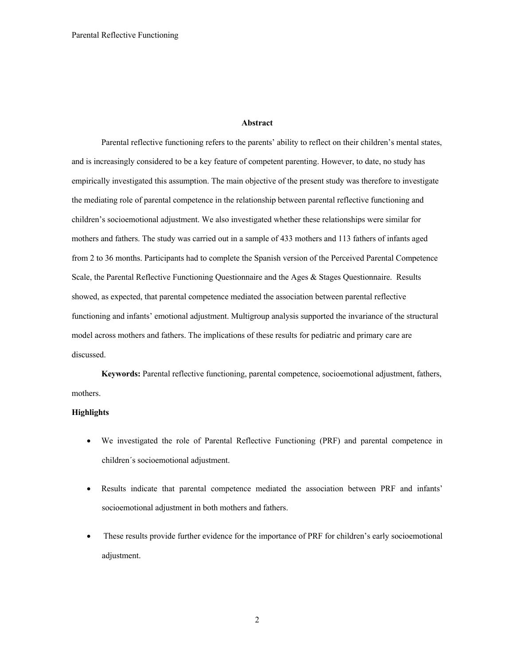#### **Abstract**

Parental reflective functioning refers to the parents' ability to reflect on their children's mental states, and is increasingly considered to be a key feature of competent parenting. However, to date, no study has empirically investigated this assumption. The main objective of the present study was therefore to investigate the mediating role of parental competence in the relationship between parental reflective functioning and children's socioemotional adjustment. We also investigated whether these relationships were similar for mothers and fathers. The study was carried out in a sample of 433 mothers and 113 fathers of infants aged from 2 to 36 months. Participants had to complete the Spanish version of the Perceived Parental Competence Scale, the Parental Reflective Functioning Questionnaire and the Ages & Stages Questionnaire. Results showed, as expected, that parental competence mediated the association between parental reflective functioning and infants' emotional adjustment. Multigroup analysis supported the invariance of the structural model across mothers and fathers. The implications of these results for pediatric and primary care are discussed.

**Keywords:** Parental reflective functioning, parental competence, socioemotional adjustment, fathers, mothers.

### **Highlights**

- We investigated the role of Parental Reflective Functioning (PRF) and parental competence in children´s socioemotional adjustment.
- Results indicate that parental competence mediated the association between PRF and infants' socioemotional adjustment in both mothers and fathers.
- These results provide further evidence for the importance of PRF for children's early socioemotional adjustment.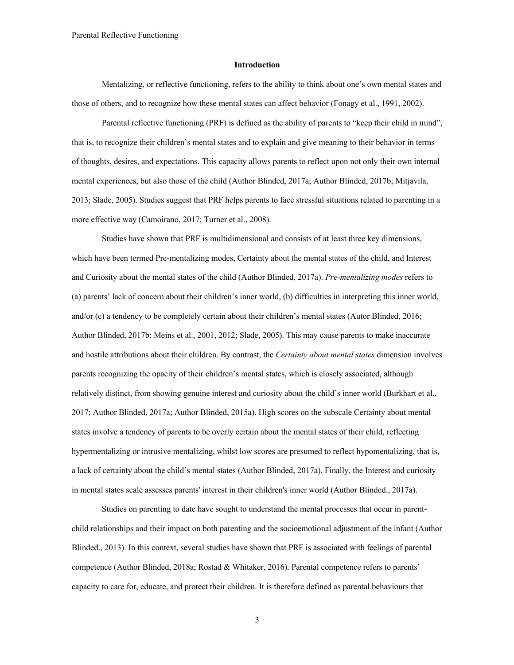### **Introduction**

Mentalizing, or reflective functioning, refers to the ability to think about one's own mental states and those of others, and to recognize how these mental states can affect behavior (Fonagy et al., 1991, 2002).

Parental reflective functioning (PRF) is defined as the ability of parents to "keep their child in mind", that is, to recognize their children's mental states and to explain and give meaning to their behavior in terms of thoughts, desires, and expectations. This capacity allows parents to reflect upon not only their own internal mental experiences, but also those of the child (Author Blinded, 2017a; Author Blinded, 2017b; Mitjavila, 2013; Slade, 2005). Studies suggest that PRF helps parents to face stressful situations related to parenting in a more effective way (Camoirano, 2017; Turner et al., 2008).

Studies have shown that PRF is multidimensional and consists of at least three key dimensions, which have been termed Pre-mentalizing modes, Certainty about the mental states of the child, and Interest and Curiosity about the mental states of the child (Author Blinded, 2017a). *Pre-mentalizing modes* refers to (a) parents' lack of concern about their children's inner world, (b) difficulties in interpreting this inner world, and/or (c) a tendency to be completely certain about their children's mental states (Autor Blinded, 2016; Author Blinded, 2017b; Meins et al., 2001, 2012; Slade, 2005). This may cause parents to make inaccurate and hostile attributions about their children. By contrast, the *Certainty about mental states* dimension involves parents recognizing the opacity of their children's mental states, which is closely associated, although relatively distinct, from showing genuine interest and curiosity about the child's inner world (Burkhart et al., 2017; Author Blinded, 2017a; Author Blinded, 2015a). High scores on the subscale Certainty about mental states involve a tendency of parents to be overly certain about the mental states of their child, reflecting hypermentalizing or intrusive mentalizing, whilst low scores are presumed to reflect hypomentalizing, that is, a lack of certainty about the child's mental states (Author Blinded, 2017a). Finally, the Interest and curiosity in mental states scale assesses parents' interest in their children's inner world (Author Blinded., 2017a).

Studies on parenting to date have sought to understand the mental processes that occur in parentchild relationships and their impact on both parenting and the socioemotional adjustment of the infant (Author Blinded., 2013). In this context, several studies have shown that PRF is associated with feelings of parental competence (Author Blinded, 2018a; Rostad & Whitaker, 2016). Parental competence refers to parents' capacity to care for, educate, and protect their children. It is therefore defined as parental behaviours that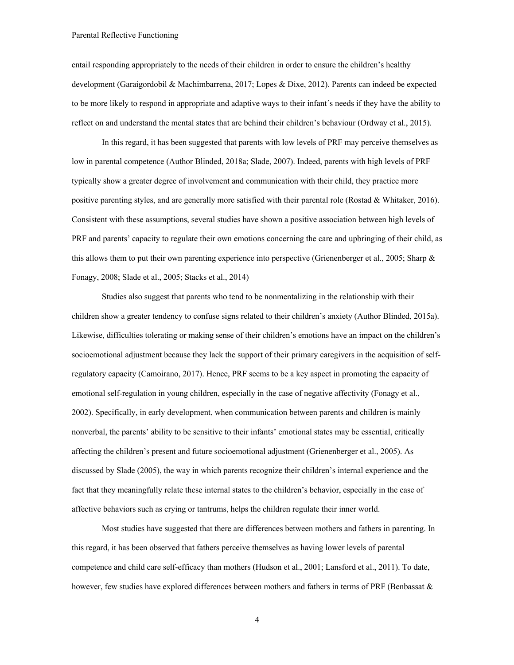entail responding appropriately to the needs of their children in order to ensure the children's healthy development (Garaigordobil & Machimbarrena, 2017; Lopes & Dixe, 2012). Parents can indeed be expected to be more likely to respond in appropriate and adaptive ways to their infant´s needs if they have the ability to reflect on and understand the mental states that are behind their children's behaviour (Ordway et al., 2015).

In this regard, it has been suggested that parents with low levels of PRF may perceive themselves as low in parental competence (Author Blinded, 2018a; Slade, 2007). Indeed, parents with high levels of PRF typically show a greater degree of involvement and communication with their child, they practice more positive parenting styles, and are generally more satisfied with their parental role (Rostad & Whitaker, 2016). Consistent with these assumptions, several studies have shown a positive association between high levels of PRF and parents' capacity to regulate their own emotions concerning the care and upbringing of their child, as this allows them to put their own parenting experience into perspective (Grienenberger et al., 2005; Sharp & Fonagy, 2008; Slade et al., 2005; Stacks et al., 2014)

Studies also suggest that parents who tend to be nonmentalizing in the relationship with their children show a greater tendency to confuse signs related to their children's anxiety (Author Blinded, 2015a). Likewise, difficulties tolerating or making sense of their children's emotions have an impact on the children's socioemotional adjustment because they lack the support of their primary caregivers in the acquisition of selfregulatory capacity (Camoirano, 2017). Hence, PRF seems to be a key aspect in promoting the capacity of emotional self-regulation in young children, especially in the case of negative affectivity (Fonagy et al., 2002). Specifically, in early development, when communication between parents and children is mainly nonverbal, the parents' ability to be sensitive to their infants' emotional states may be essential, critically affecting the children's present and future socioemotional adjustment (Grienenberger et al., 2005). As discussed by Slade (2005), the way in which parents recognize their children's internal experience and the fact that they meaningfully relate these internal states to the children's behavior, especially in the case of affective behaviors such as crying or tantrums, helps the children regulate their inner world.

Most studies have suggested that there are differences between mothers and fathers in parenting. In this regard, it has been observed that fathers perceive themselves as having lower levels of parental competence and child care self-efficacy than mothers (Hudson et al., 2001; Lansford et al., 2011). To date, however, few studies have explored differences between mothers and fathers in terms of PRF (Benbassat &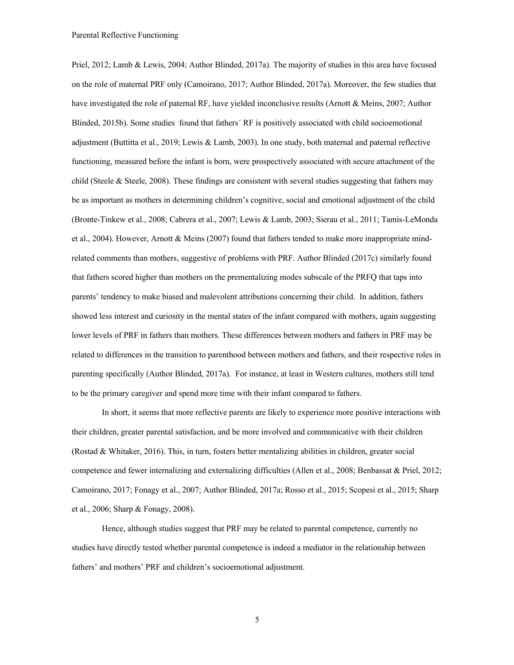Priel, 2012; Lamb & Lewis, 2004; Author Blinded, 2017a). The majority of studies in this area have focused on the role of maternal PRF only (Camoirano, 2017; Author Blinded, 2017a). Moreover, the few studies that have investigated the role of paternal RF, have yielded inconclusive results (Arnott & Meins, 2007; Author Blinded, 2015b). Some studies found that fathers´ RF is positively associated with child socioemotional adjustment (Buttitta et al., 2019; Lewis & Lamb, 2003). In one study, both maternal and paternal reflective functioning, measured before the infant is born, were prospectively associated with secure attachment of the child (Steele & Steele, 2008). These findings are consistent with several studies suggesting that fathers may be as important as mothers in determining children's cognitive, social and emotional adjustment of the child (Bronte-Tinkew et al., 2008; Cabrera et al., 2007; Lewis & Lamb, 2003; Sierau et al., 2011; Tamis-LeMonda et al., 2004). However, Arnott & Meins (2007) found that fathers tended to make more inappropriate mindrelated comments than mothers, suggestive of problems with PRF. Author Blinded (2017c) similarly found that fathers scored higher than mothers on the prementalizing modes subscale of the PRFQ that taps into parents' tendency to make biased and malevolent attributions concerning their child. In addition, fathers showed less interest and curiosity in the mental states of the infant compared with mothers, again suggesting lower levels of PRF in fathers than mothers. These differences between mothers and fathers in PRF may be related to differences in the transition to parenthood between mothers and fathers, and their respective roles in parenting specifically (Author Blinded, 2017a). For instance, at least in Western cultures, mothers still tend to be the primary caregiver and spend more time with their infant compared to fathers.

In short, it seems that more reflective parents are likely to experience more positive interactions with their children, greater parental satisfaction, and be more involved and communicative with their children (Rostad & Whitaker, 2016). This, in turn, fosters better mentalizing abilities in children, greater social competence and fewer internalizing and externalizing difficulties (Allen et al., 2008; Benbassat & Priel, 2012; Camoirano, 2017; Fonagy et al., 2007; Author Blinded, 2017a; Rosso et al., 2015; Scopesi et al., 2015; Sharp et al., 2006; Sharp & Fonagy, 2008).

Hence, although studies suggest that PRF may be related to parental competence, currently no studies have directly tested whether parental competence is indeed a mediator in the relationship between fathers' and mothers' PRF and children's socioemotional adjustment.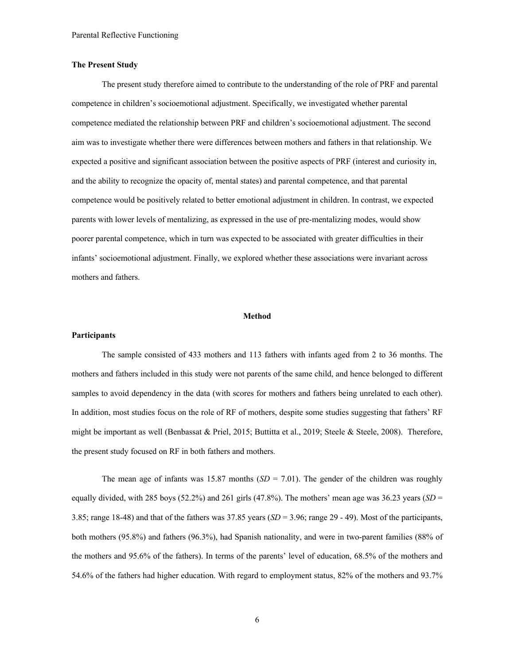### **The Present Study**

The present study therefore aimed to contribute to the understanding of the role of PRF and parental competence in children's socioemotional adjustment. Specifically, we investigated whether parental competence mediated the relationship between PRF and children's socioemotional adjustment. The second aim was to investigate whether there were differences between mothers and fathers in that relationship. We expected a positive and significant association between the positive aspects of PRF (interest and curiosity in, and the ability to recognize the opacity of, mental states) and parental competence, and that parental competence would be positively related to better emotional adjustment in children. In contrast, we expected parents with lower levels of mentalizing, as expressed in the use of pre-mentalizing modes, would show poorer parental competence, which in turn was expected to be associated with greater difficulties in their infants' socioemotional adjustment. Finally, we explored whether these associations were invariant across mothers and fathers.

#### **Method**

#### **Participants**

The sample consisted of 433 mothers and 113 fathers with infants aged from 2 to 36 months. The mothers and fathers included in this study were not parents of the same child, and hence belonged to different samples to avoid dependency in the data (with scores for mothers and fathers being unrelated to each other). In addition, most studies focus on the role of RF of mothers, despite some studies suggesting that fathers' RF might be important as well (Benbassat & Priel, 2015; Buttitta et al., 2019; Steele & Steele, 2008). Therefore, the present study focused on RF in both fathers and mothers*.* 

The mean age of infants was 15.87 months  $(SD = 7.01)$ . The gender of the children was roughly equally divided, with 285 boys (52.2%) and 261 girls (47.8%). The mothers' mean age was  $36.23$  years (*SD* = 3.85; range 18-48) and that of the fathers was 37.85 years (*SD* = 3.96; range 29 - 49). Most of the participants, both mothers (95.8%) and fathers (96.3%), had Spanish nationality, and were in two-parent families (88% of the mothers and 95.6% of the fathers). In terms of the parents' level of education, 68.5% of the mothers and 54.6% of the fathers had higher education. With regard to employment status, 82% of the mothers and 93.7%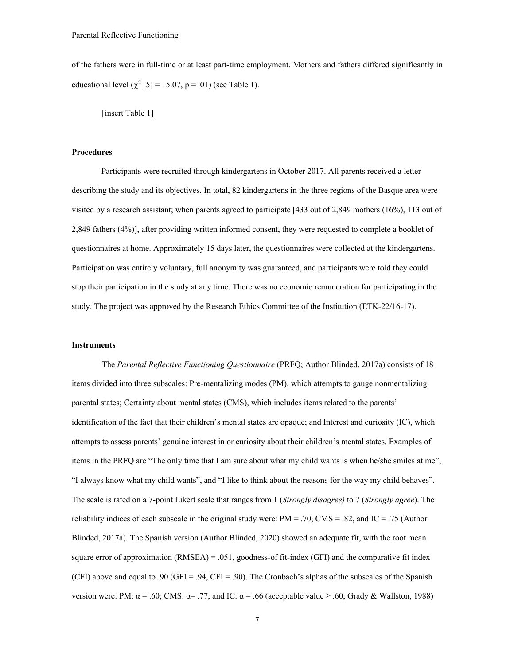of the fathers were in full-time or at least part-time employment. Mothers and fathers differed significantly in educational level  $(\chi^2 \mid 5] = 15.07$ , p = .01) (see Table 1).

[insert Table 1]

### **Procedures**

Participants were recruited through kindergartens in October 2017. All parents received a letter describing the study and its objectives. In total, 82 kindergartens in the three regions of the Basque area were visited by a research assistant; when parents agreed to participate [433 out of 2,849 mothers (16%), 113 out of 2,849 fathers (4%)], after providing written informed consent, they were requested to complete a booklet of questionnaires at home. Approximately 15 days later, the questionnaires were collected at the kindergartens. Participation was entirely voluntary, full anonymity was guaranteed, and participants were told they could stop their participation in the study at any time. There was no economic remuneration for participating in the study. The project was approved by the Research Ethics Committee of the Institution (ETK-22/16-17).

#### **Instruments**

The *Parental Reflective Functioning Questionnaire* (PRFQ; Author Blinded, 2017a) consists of 18 items divided into three subscales: Pre-mentalizing modes (PM), which attempts to gauge nonmentalizing parental states; Certainty about mental states (CMS), which includes items related to the parents' identification of the fact that their children's mental states are opaque; and Interest and curiosity (IC), which attempts to assess parents' genuine interest in or curiosity about their children's mental states. Examples of items in the PRFQ are "The only time that I am sure about what my child wants is when he/she smiles at me", "I always know what my child wants", and "I like to think about the reasons for the way my child behaves". The scale is rated on a 7-point Likert scale that ranges from 1 (*Strongly disagree)* to 7 (*Strongly agree*). The reliability indices of each subscale in the original study were:  $PM = .70$ ,  $CMS = .82$ , and  $IC = .75$  (Author Blinded, 2017a). The Spanish version (Author Blinded, 2020) showed an adequate fit, with the root mean square error of approximation  $(RMSEA) = .051$ , goodness-of fit-index (GFI) and the comparative fit index (CFI) above and equal to .90 (GFI = .94, CFI = .90). The Cronbach's alphas of the subscales of the Spanish version were: PM:  $\alpha$  = .60; CMS:  $\alpha$  = .77; and IC:  $\alpha$  = .66 (acceptable value  $\geq$  .60; Grady & Wallston, 1988)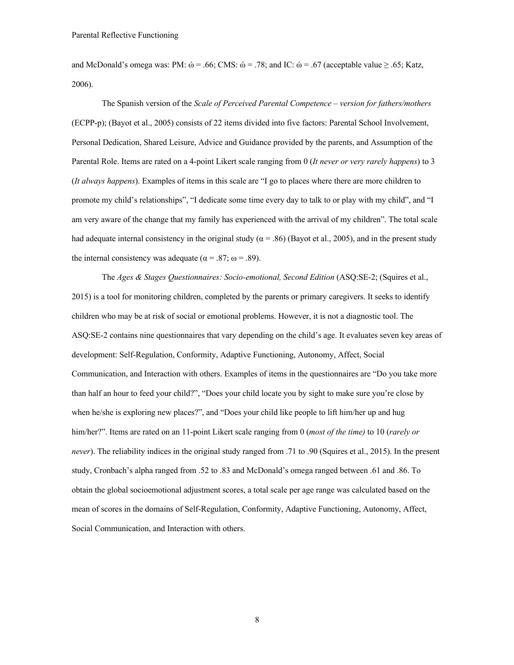and McDonald's omega was: PM:  $\dot{\omega} = .66$ ; CMS:  $\dot{\omega} = .78$ ; and IC:  $\dot{\omega} = .67$  (acceptable value  $\geq .65$ ; Katz, 2006).

The Spanish version of the *Scale of Perceived Parental Competence – version for fathers/mothers* (ECPP-p); (Bayot et al., 2005) consists of 22 items divided into five factors: Parental School Involvement, Personal Dedication, Shared Leisure, Advice and Guidance provided by the parents, and Assumption of the Parental Role. Items are rated on a 4-point Likert scale ranging from 0 (*It never or very rarely happens*) to 3 (*It always happens*). Examples of items in this scale are "I go to places where there are more children to promote my child's relationships", "I dedicate some time every day to talk to or play with my child", and "I am very aware of the change that my family has experienced with the arrival of my children". The total scale had adequate internal consistency in the original study ( $\alpha$  = .86) (Bayot et al., 2005), and in the present study the internal consistency was adequate ( $\alpha = .87$ ;  $\omega = .89$ ).

The *Ages & Stages Questionnaires: Socio-emotional, Second Edition* (ASQ:SE-2; (Squires et al., 2015) is a tool for monitoring children, completed by the parents or primary caregivers. It seeks to identify children who may be at risk of social or emotional problems. However, it is not a diagnostic tool. The ASQ:SE-2 contains nine questionnaires that vary depending on the child's age. It evaluates seven key areas of development: Self-Regulation, Conformity, Adaptive Functioning, Autonomy, Affect, Social Communication, and Interaction with others. Examples of items in the questionnaires are "Do you take more than half an hour to feed your child?", "Does your child locate you by sight to make sure you're close by when he/she is exploring new places?", and "Does your child like people to lift him/her up and hug him/her?". Items are rated on an 11-point Likert scale ranging from 0 (*most of the time)* to 10 (*rarely or never*). The reliability indices in the original study ranged from .71 to .90 (Squires et al., 2015). In the present study, Cronbach's alpha ranged from .52 to .83 and McDonald's omega ranged between .61 and .86. To obtain the global socioemotional adjustment scores, a total scale per age range was calculated based on the mean of scores in the domains of Self-Regulation, Conformity, Adaptive Functioning, Autonomy, Affect, Social Communication, and Interaction with others.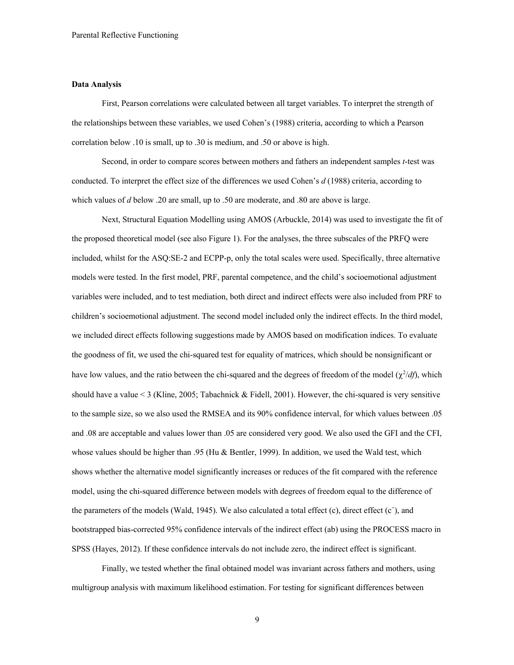### **Data Analysis**

First, Pearson correlations were calculated between all target variables. To interpret the strength of the relationships between these variables, we used Cohen's (1988) criteria, according to which a Pearson correlation below .10 is small, up to .30 is medium, and .50 or above is high.

Second, in order to compare scores between mothers and fathers an independent samples *t*-test was conducted. To interpret the effect size of the differences we used Cohen's *d* (1988) criteria, according to which values of *d* below .20 are small, up to .50 are moderate, and .80 are above is large.

Next, Structural Equation Modelling using AMOS (Arbuckle, 2014) was used to investigate the fit of the proposed theoretical model (see also Figure 1). For the analyses, the three subscales of the PRFQ were included, whilst for the ASQ:SE-2 and ECPP-p, only the total scales were used. Specifically, three alternative models were tested. In the first model, PRF, parental competence, and the child's socioemotional adjustment variables were included, and to test mediation, both direct and indirect effects were also included from PRF to children's socioemotional adjustment. The second model included only the indirect effects. In the third model, we included direct effects following suggestions made by AMOS based on modification indices. To evaluate the goodness of fit, we used the chi-squared test for equality of matrices, which should be nonsignificant or have low values, and the ratio between the chi-squared and the degrees of freedom of the model  $(\chi^2/df)$ , which should have a value  $\leq 3$  (Kline, 2005; Tabachnick & Fidell, 2001). However, the chi-squared is very sensitive to the sample size, so we also used the RMSEA and its 90% confidence interval, for which values between .05 and .08 are acceptable and values lower than .05 are considered very good. We also used the GFI and the CFI, whose values should be higher than .95 (Hu & Bentler, 1999). In addition, we used the Wald test, which shows whether the alternative model significantly increases or reduces of the fit compared with the reference model, using the chi-squared difference between models with degrees of freedom equal to the difference of the parameters of the models (Wald, 1945). We also calculated a total effect (c), direct effect (c´), and bootstrapped bias-corrected 95% confidence intervals of the indirect effect (ab) using the PROCESS macro in SPSS (Hayes, 2012). If these confidence intervals do not include zero, the indirect effect is significant.

Finally, we tested whether the final obtained model was invariant across fathers and mothers, using multigroup analysis with maximum likelihood estimation. For testing for significant differences between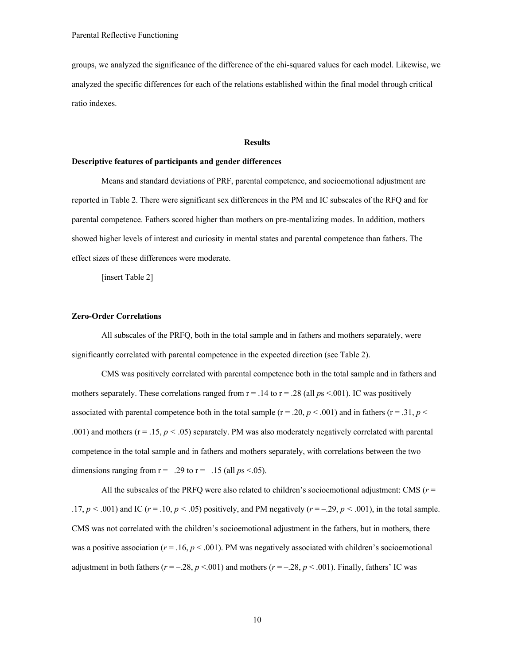groups, we analyzed the significance of the difference of the chi-squared values for each model. Likewise, we analyzed the specific differences for each of the relations established within the final model through critical ratio indexes.

#### **Results**

#### **Descriptive features of participants and gender differences**

Means and standard deviations of PRF, parental competence, and socioemotional adjustment are reported in Table 2. There were significant sex differences in the PM and IC subscales of the RFQ and for parental competence. Fathers scored higher than mothers on pre-mentalizing modes. In addition, mothers showed higher levels of interest and curiosity in mental states and parental competence than fathers. The effect sizes of these differences were moderate.

[insert Table 2]

#### **Zero-Order Correlations**

All subscales of the PRFQ, both in the total sample and in fathers and mothers separately, were significantly correlated with parental competence in the expected direction (see Table 2).

CMS was positively correlated with parental competence both in the total sample and in fathers and mothers separately. These correlations ranged from  $r = .14$  to  $r = .28$  (all  $ps < .001$ ). IC was positively associated with parental competence both in the total sample  $(r = .20, p < .001)$  and in fathers  $(r = .31, p < .001)$ .001) and mothers ( $r = .15$ ,  $p < .05$ ) separately. PM was also moderately negatively correlated with parental competence in the total sample and in fathers and mothers separately, with correlations between the two dimensions ranging from  $r = -.29$  to  $r = -.15$  (all  $ps < .05$ ).

All the subscales of the PRFQ were also related to children's socioemotional adjustment: CMS (*r* = .17,  $p < .001$ ) and IC ( $r = .10$ ,  $p < .05$ ) positively, and PM negatively ( $r = -.29$ ,  $p < .001$ ), in the total sample. CMS was not correlated with the children's socioemotional adjustment in the fathers, but in mothers, there was a positive association ( $r = .16$ ,  $p < .001$ ). PM was negatively associated with children's socioemotional adjustment in both fathers ( $r = -0.28$ ,  $p < 0.001$ ) and mothers ( $r = -0.28$ ,  $p < 0.001$ ). Finally, fathers' IC was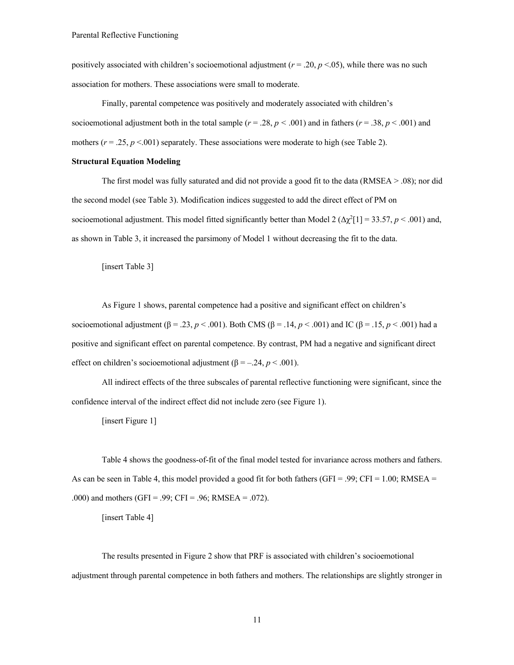positively associated with children's socioemotional adjustment ( $r = .20$ ,  $p < .05$ ), while there was no such association for mothers. These associations were small to moderate.

Finally, parental competence was positively and moderately associated with children's socioemotional adjustment both in the total sample  $(r = .28, p < .001)$  and in fathers  $(r = .38, p < .001)$  and mothers  $(r = .25, p < .001)$  separately. These associations were moderate to high (see Table 2).

#### **Structural Equation Modeling**

The first model was fully saturated and did not provide a good fit to the data (RMSEA > .08); nor did the second model (see Table 3). Modification indices suggested to add the direct effect of PM on socioemotional adjustment. This model fitted significantly better than Model 2  $(\Delta \chi^2[1] = 33.57, p < .001)$  and, as shown in Table 3, it increased the parsimony of Model 1 without decreasing the fit to the data.

[insert Table 3]

As Figure 1 shows, parental competence had a positive and significant effect on children's socioemotional adjustment (β = .23, *p* < .001). Both CMS (β = .14, *p* < .001) and IC (β = .15, *p* < .001) had a positive and significant effect on parental competence. By contrast, PM had a negative and significant direct effect on children's socioemotional adjustment ( $β = -.24, p < .001$ ).

All indirect effects of the three subscales of parental reflective functioning were significant, since the confidence interval of the indirect effect did not include zero (see Figure 1).

[insert Figure 1]

Table 4 shows the goodness-of-fit of the final model tested for invariance across mothers and fathers. As can be seen in Table 4, this model provided a good fit for both fathers (GFI = .99; CFI = 1.00; RMSEA = .000) and mothers (GFI = .99; CFI = .96; RMSEA = .072).

[insert Table 4]

The results presented in Figure 2 show that PRF is associated with children's socioemotional adjustment through parental competence in both fathers and mothers. The relationships are slightly stronger in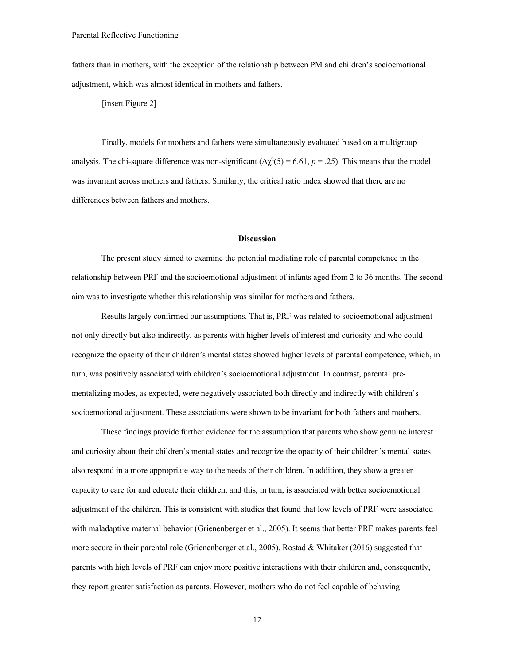fathers than in mothers, with the exception of the relationship between PM and children's socioemotional adjustment, which was almost identical in mothers and fathers.

[insert Figure 2]

Finally, models for mothers and fathers were simultaneously evaluated based on a multigroup analysis. The chi-square difference was non-significant  $(\Delta \chi^2(5) = 6.61, p = .25)$ . This means that the model was invariant across mothers and fathers. Similarly, the critical ratio index showed that there are no differences between fathers and mothers.

#### **Discussion**

The present study aimed to examine the potential mediating role of parental competence in the relationship between PRF and the socioemotional adjustment of infants aged from 2 to 36 months. The second aim was to investigate whether this relationship was similar for mothers and fathers.

Results largely confirmed our assumptions. That is, PRF was related to socioemotional adjustment not only directly but also indirectly, as parents with higher levels of interest and curiosity and who could recognize the opacity of their children's mental states showed higher levels of parental competence, which, in turn, was positively associated with children's socioemotional adjustment. In contrast, parental prementalizing modes, as expected, were negatively associated both directly and indirectly with children's socioemotional adjustment. These associations were shown to be invariant for both fathers and mothers.

These findings provide further evidence for the assumption that parents who show genuine interest and curiosity about their children's mental states and recognize the opacity of their children's mental states also respond in a more appropriate way to the needs of their children. In addition, they show a greater capacity to care for and educate their children, and this, in turn, is associated with better socioemotional adjustment of the children. This is consistent with studies that found that low levels of PRF were associated with maladaptive maternal behavior (Grienenberger et al., 2005). It seems that better PRF makes parents feel more secure in their parental role (Grienenberger et al., 2005). Rostad & Whitaker (2016) suggested that parents with high levels of PRF can enjoy more positive interactions with their children and, consequently, they report greater satisfaction as parents. However, mothers who do not feel capable of behaving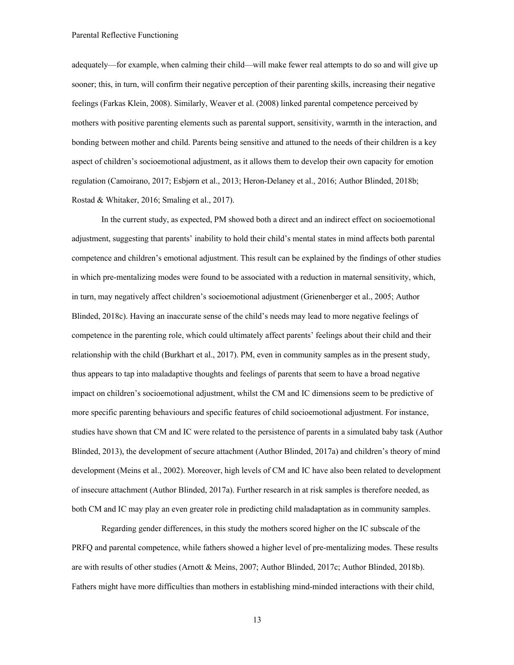adequately—for example, when calming their child—will make fewer real attempts to do so and will give up sooner; this, in turn, will confirm their negative perception of their parenting skills, increasing their negative feelings (Farkas Klein, 2008). Similarly, Weaver et al. (2008) linked parental competence perceived by mothers with positive parenting elements such as parental support, sensitivity, warmth in the interaction, and bonding between mother and child. Parents being sensitive and attuned to the needs of their children is a key aspect of children's socioemotional adjustment, as it allows them to develop their own capacity for emotion regulation (Camoirano, 2017; Esbjørn et al., 2013; Heron-Delaney et al., 2016; Author Blinded, 2018b; Rostad & Whitaker, 2016; Smaling et al., 2017).

In the current study, as expected, PM showed both a direct and an indirect effect on socioemotional adjustment, suggesting that parents' inability to hold their child's mental states in mind affects both parental competence and children's emotional adjustment. This result can be explained by the findings of other studies in which pre-mentalizing modes were found to be associated with a reduction in maternal sensitivity, which, in turn, may negatively affect children's socioemotional adjustment (Grienenberger et al., 2005; Author Blinded, 2018c). Having an inaccurate sense of the child's needs may lead to more negative feelings of competence in the parenting role, which could ultimately affect parents' feelings about their child and their relationship with the child (Burkhart et al., 2017). PM, even in community samples as in the present study, thus appears to tap into maladaptive thoughts and feelings of parents that seem to have a broad negative impact on children's socioemotional adjustment, whilst the CM and IC dimensions seem to be predictive of more specific parenting behaviours and specific features of child socioemotional adjustment. For instance, studies have shown that CM and IC were related to the persistence of parents in a simulated baby task (Author Blinded, 2013), the development of secure attachment (Author Blinded, 2017a) and children's theory of mind development (Meins et al., 2002). Moreover, high levels of CM and IC have also been related to development of insecure attachment (Author Blinded, 2017a). Further research in at risk samples is therefore needed, as both CM and IC may play an even greater role in predicting child maladaptation as in community samples.

Regarding gender differences, in this study the mothers scored higher on the IC subscale of the PRFQ and parental competence, while fathers showed a higher level of pre-mentalizing modes. These results are with results of other studies (Arnott & Meins, 2007; Author Blinded, 2017c; Author Blinded, 2018b). Fathers might have more difficulties than mothers in establishing mind-minded interactions with their child,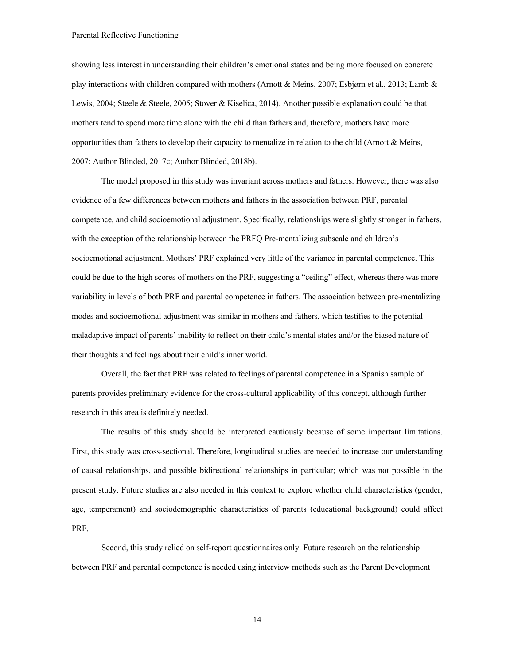showing less interest in understanding their children's emotional states and being more focused on concrete play interactions with children compared with mothers (Arnott & Meins, 2007; Esbjørn et al., 2013; Lamb & Lewis, 2004; Steele & Steele, 2005; Stover & Kiselica, 2014). Another possible explanation could be that mothers tend to spend more time alone with the child than fathers and, therefore, mothers have more opportunities than fathers to develop their capacity to mentalize in relation to the child (Arnott & Meins, 2007; Author Blinded, 2017c; Author Blinded, 2018b).

The model proposed in this study was invariant across mothers and fathers. However, there was also evidence of a few differences between mothers and fathers in the association between PRF, parental competence, and child socioemotional adjustment. Specifically, relationships were slightly stronger in fathers, with the exception of the relationship between the PRFQ Pre-mentalizing subscale and children's socioemotional adjustment. Mothers' PRF explained very little of the variance in parental competence. This could be due to the high scores of mothers on the PRF, suggesting a "ceiling" effect, whereas there was more variability in levels of both PRF and parental competence in fathers. The association between pre-mentalizing modes and socioemotional adjustment was similar in mothers and fathers, which testifies to the potential maladaptive impact of parents' inability to reflect on their child's mental states and/or the biased nature of their thoughts and feelings about their child's inner world.

Overall, the fact that PRF was related to feelings of parental competence in a Spanish sample of parents provides preliminary evidence for the cross-cultural applicability of this concept, although further research in this area is definitely needed.

The results of this study should be interpreted cautiously because of some important limitations. First, this study was cross-sectional. Therefore, longitudinal studies are needed to increase our understanding of causal relationships, and possible bidirectional relationships in particular; which was not possible in the present study. Future studies are also needed in this context to explore whether child characteristics (gender, age, temperament) and sociodemographic characteristics of parents (educational background) could affect PRF.

Second, this study relied on self-report questionnaires only. Future research on the relationship between PRF and parental competence is needed using interview methods such as the Parent Development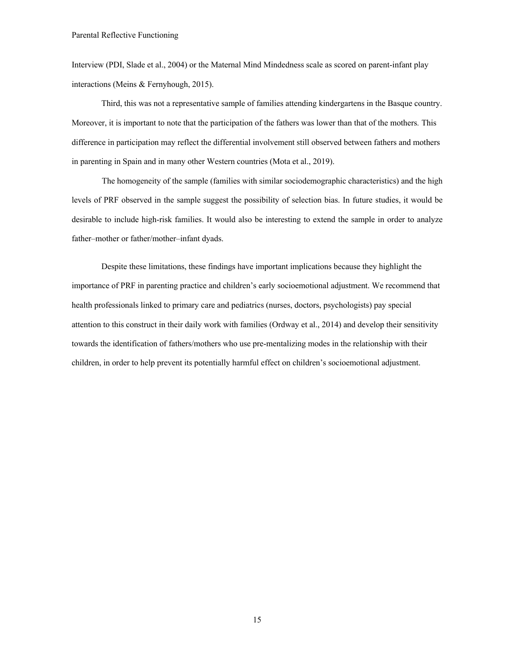Interview (PDI, Slade et al., 2004) or the Maternal Mind Mindedness scale as scored on parent-infant play interactions (Meins & Fernyhough, 2015).

Third, this was not a representative sample of families attending kindergartens in the Basque country. Moreover, it is important to note that the participation of the fathers was lower than that of the mothers*.* This difference in participation may reflect the differential involvement still observed between fathers and mothers in parenting in Spain and in many other Western countries (Mota et al., 2019).

The homogeneity of the sample (families with similar sociodemographic characteristics) and the high levels of PRF observed in the sample suggest the possibility of selection bias. In future studies, it would be desirable to include high-risk families. It would also be interesting to extend the sample in order to analyze father–mother or father/mother–infant dyads.

Despite these limitations, these findings have important implications because they highlight the importance of PRF in parenting practice and children's early socioemotional adjustment. We recommend that health professionals linked to primary care and pediatrics (nurses, doctors, psychologists) pay special attention to this construct in their daily work with families (Ordway et al., 2014) and develop their sensitivity towards the identification of fathers/mothers who use pre-mentalizing modes in the relationship with their children, in order to help prevent its potentially harmful effect on children's socioemotional adjustment.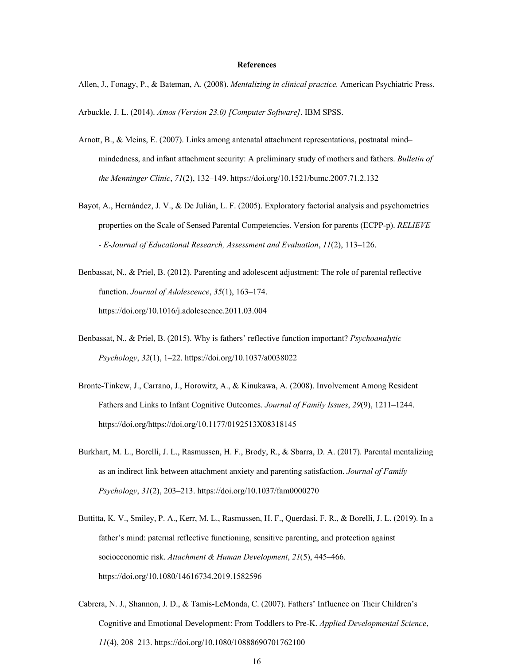#### **References**

Allen, J., Fonagy, P., & Bateman, A. (2008). *Mentalizing in clinical practice.* American Psychiatric Press.

Arbuckle, J. L. (2014). *Amos (Version 23.0) [Computer Software]*. IBM SPSS.

- Arnott, B., & Meins, E. (2007). Links among antenatal attachment representations, postnatal mind– mindedness, and infant attachment security: A preliminary study of mothers and fathers. *Bulletin of the Menninger Clinic*, *71*(2), 132–149. https://doi.org/10.1521/bumc.2007.71.2.132
- Bayot, A., Hernández, J. V., & De Julián, L. F. (2005). Exploratory factorial analysis and psychometrics properties on the Scale of Sensed Parental Competencies. Version for parents (ECPP-p). *RELIEVE - E-Journal of Educational Research, Assessment and Evaluation*, *11*(2), 113–126.
- Benbassat, N., & Priel, B. (2012). Parenting and adolescent adjustment: The role of parental reflective function. *Journal of Adolescence*, *35*(1), 163–174. https://doi.org/10.1016/j.adolescence.2011.03.004
- Benbassat, N., & Priel, B. (2015). Why is fathers' reflective function important? *Psychoanalytic Psychology*, *32*(1), 1–22. https://doi.org/10.1037/a0038022
- Bronte-Tinkew, J., Carrano, J., Horowitz, A., & Kinukawa, A. (2008). Involvement Among Resident Fathers and Links to Infant Cognitive Outcomes. *Journal of Family Issues*, *29*(9), 1211–1244. https://doi.org/https://doi.org/10.1177/0192513X08318145
- Burkhart, M. L., Borelli, J. L., Rasmussen, H. F., Brody, R., & Sbarra, D. A. (2017). Parental mentalizing as an indirect link between attachment anxiety and parenting satisfaction. *Journal of Family Psychology*, *31*(2), 203–213. https://doi.org/10.1037/fam0000270
- Buttitta, K. V., Smiley, P. A., Kerr, M. L., Rasmussen, H. F., Querdasi, F. R., & Borelli, J. L. (2019). In a father's mind: paternal reflective functioning, sensitive parenting, and protection against socioeconomic risk. *Attachment & Human Development*, *21*(5), 445–466. https://doi.org/10.1080/14616734.2019.1582596
- Cabrera, N. J., Shannon, J. D., & Tamis-LeMonda, C. (2007). Fathers' Influence on Their Children's Cognitive and Emotional Development: From Toddlers to Pre-K. *Applied Developmental Science*, *11*(4), 208–213. https://doi.org/10.1080/10888690701762100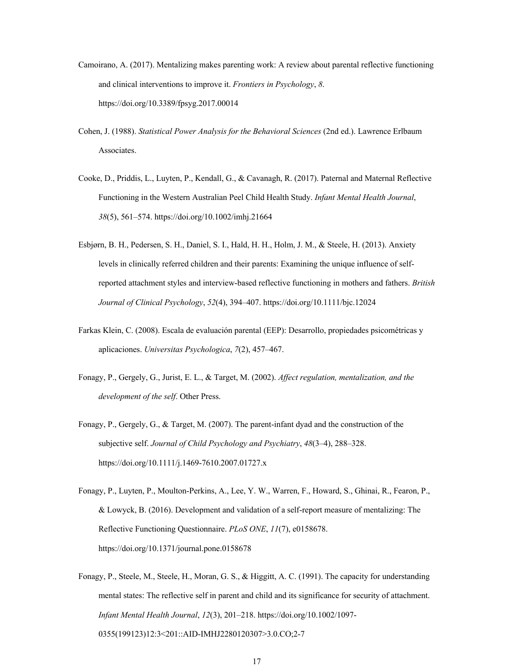- Camoirano, A. (2017). Mentalizing makes parenting work: A review about parental reflective functioning and clinical interventions to improve it. *Frontiers in Psychology*, *8*. https://doi.org/10.3389/fpsyg.2017.00014
- Cohen, J. (1988). *Statistical Power Analysis for the Behavioral Sciences* (2nd ed.). Lawrence Erlbaum Associates.
- Cooke, D., Priddis, L., Luyten, P., Kendall, G., & Cavanagh, R. (2017). Paternal and Maternal Reflective Functioning in the Western Australian Peel Child Health Study. *Infant Mental Health Journal*, *38*(5), 561–574. https://doi.org/10.1002/imhj.21664
- Esbjørn, B. H., Pedersen, S. H., Daniel, S. I., Hald, H. H., Holm, J. M., & Steele, H. (2013). Anxiety levels in clinically referred children and their parents: Examining the unique influence of selfreported attachment styles and interview-based reflective functioning in mothers and fathers. *British Journal of Clinical Psychology*, *52*(4), 394–407. https://doi.org/10.1111/bjc.12024
- Farkas Klein, C. (2008). Escala de evaluación parental (EEP): Desarrollo, propiedades psicométricas y aplicaciones. *Universitas Psychologica*, *7*(2), 457–467.
- Fonagy, P., Gergely, G., Jurist, E. L., & Target, M. (2002). *Affect regulation, mentalization, and the development of the self*. Other Press.
- Fonagy, P., Gergely, G., & Target, M. (2007). The parent-infant dyad and the construction of the subjective self. *Journal of Child Psychology and Psychiatry*, *48*(3–4), 288–328. https://doi.org/10.1111/j.1469-7610.2007.01727.x
- Fonagy, P., Luyten, P., Moulton-Perkins, A., Lee, Y. W., Warren, F., Howard, S., Ghinai, R., Fearon, P., & Lowyck, B. (2016). Development and validation of a self-report measure of mentalizing: The Reflective Functioning Questionnaire. *PLoS ONE*, *11*(7), e0158678. https://doi.org/10.1371/journal.pone.0158678
- Fonagy, P., Steele, M., Steele, H., Moran, G. S., & Higgitt, A. C. (1991). The capacity for understanding mental states: The reflective self in parent and child and its significance for security of attachment. *Infant Mental Health Journal*, *12*(3), 201–218. https://doi.org/10.1002/1097- 0355(199123)12:3<201::AID-IMHJ2280120307>3.0.CO;2-7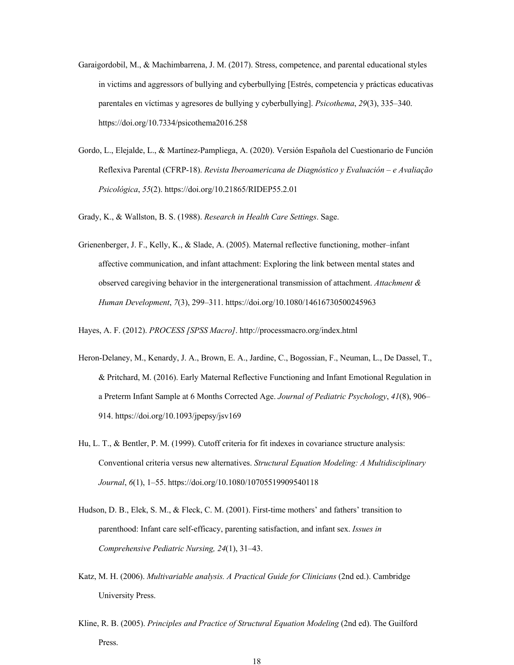- Garaigordobil, M., & Machimbarrena, J. M. (2017). Stress, competence, and parental educational styles in victims and aggressors of bullying and cyberbullying [Estrés, competencia y prácticas educativas parentales en víctimas y agresores de bullying y cyberbullying]. *Psicothema*, *29*(3), 335–340. https://doi.org/10.7334/psicothema2016.258
- Gordo, L., Elejalde, L., & Martínez-Pampliega, A. (2020). Versión Española del Cuestionario de Función Reflexiva Parental (CFRP-18). *Revista Iberoamericana de Diagnóstico y Evaluación – e Avaliação Psicológica*, *55*(2). https://doi.org/10.21865/RIDEP55.2.01

Grady, K., & Wallston, B. S. (1988). *Research in Health Care Settings*. Sage.

Grienenberger, J. F., Kelly, K., & Slade, A. (2005). Maternal reflective functioning, mother–infant affective communication, and infant attachment: Exploring the link between mental states and observed caregiving behavior in the intergenerational transmission of attachment. *Attachment & Human Development*, *7*(3), 299–311. https://doi.org/10.1080/14616730500245963

Hayes, A. F. (2012). *PROCESS [SPSS Macro]*. http://processmacro.org/index.html

- Heron-Delaney, M., Kenardy, J. A., Brown, E. A., Jardine, C., Bogossian, F., Neuman, L., De Dassel, T., & Pritchard, M. (2016). Early Maternal Reflective Functioning and Infant Emotional Regulation in a Preterm Infant Sample at 6 Months Corrected Age. *Journal of Pediatric Psychology*, *41*(8), 906– 914. https://doi.org/10.1093/jpepsy/jsv169
- Hu, L. T., & Bentler, P. M. (1999). Cutoff criteria for fit indexes in covariance structure analysis: Conventional criteria versus new alternatives. *Structural Equation Modeling: A Multidisciplinary Journal*, *6*(1), 1–55. https://doi.org/10.1080/10705519909540118
- Hudson, D. B., Elek, S. M., & Fleck, C. M. (2001). First-time mothers' and fathers' transition to parenthood: Infant care self-efficacy, parenting satisfaction, and infant sex. *Issues in Comprehensive Pediatric Nursing, 24*(1), 31–43.
- Katz, M. H. (2006). *Multivariable analysis. A Practical Guide for Clinicians* (2nd ed.). Cambridge University Press.
- Kline, R. B. (2005). *Principles and Practice of Structural Equation Modeling* (2nd ed). The Guilford Press.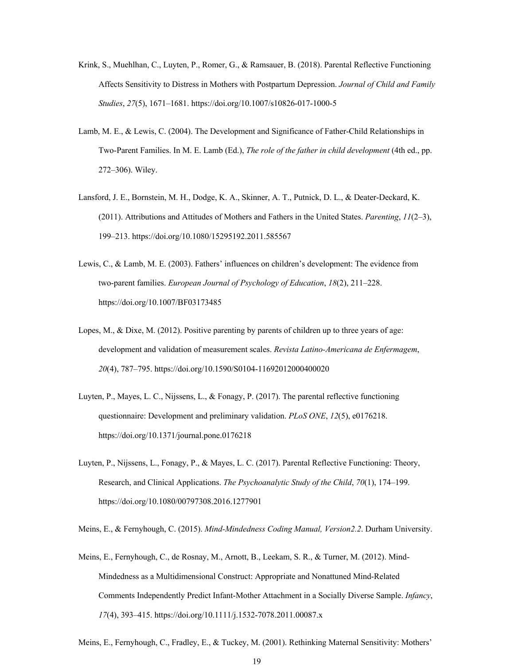- Krink, S., Muehlhan, C., Luyten, P., Romer, G., & Ramsauer, B. (2018). Parental Reflective Functioning Affects Sensitivity to Distress in Mothers with Postpartum Depression. *Journal of Child and Family Studies*, *27*(5), 1671–1681. https://doi.org/10.1007/s10826-017-1000-5
- Lamb, M. E., & Lewis, C. (2004). The Development and Significance of Father-Child Relationships in Two-Parent Families. In M. E. Lamb (Ed.), *The role of the father in child development* (4th ed., pp. 272–306). Wiley.
- Lansford, J. E., Bornstein, M. H., Dodge, K. A., Skinner, A. T., Putnick, D. L., & Deater-Deckard, K. (2011). Attributions and Attitudes of Mothers and Fathers in the United States. *Parenting*, *11*(2–3), 199–213. https://doi.org/10.1080/15295192.2011.585567
- Lewis, C., & Lamb, M. E. (2003). Fathers' influences on children's development: The evidence from two-parent families. *European Journal of Psychology of Education*, *18*(2), 211–228. https://doi.org/10.1007/BF03173485
- Lopes, M., & Dixe, M. (2012). Positive parenting by parents of children up to three years of age: development and validation of measurement scales. *Revista Latino-Americana de Enfermagem*, *20*(4), 787–795. https://doi.org/10.1590/S0104-11692012000400020
- Luyten, P., Mayes, L. C., Nijssens, L., & Fonagy, P. (2017). The parental reflective functioning questionnaire: Development and preliminary validation. *PLoS ONE*, *12*(5), e0176218. https://doi.org/10.1371/journal.pone.0176218
- Luyten, P., Nijssens, L., Fonagy, P., & Mayes, L. C. (2017). Parental Reflective Functioning: Theory, Research, and Clinical Applications. *The Psychoanalytic Study of the Child*, *70*(1), 174–199. https://doi.org/10.1080/00797308.2016.1277901

Meins, E., & Fernyhough, C. (2015). *Mind-Mindedness Coding Manual, Version2.2*. Durham University.

Meins, E., Fernyhough, C., de Rosnay, M., Arnott, B., Leekam, S. R., & Turner, M. (2012). Mind-Mindedness as a Multidimensional Construct: Appropriate and Nonattuned Mind-Related Comments Independently Predict Infant-Mother Attachment in a Socially Diverse Sample. *Infancy*, *17*(4), 393–415. https://doi.org/10.1111/j.1532-7078.2011.00087.x

Meins, E., Fernyhough, C., Fradley, E., & Tuckey, M. (2001). Rethinking Maternal Sensitivity: Mothers'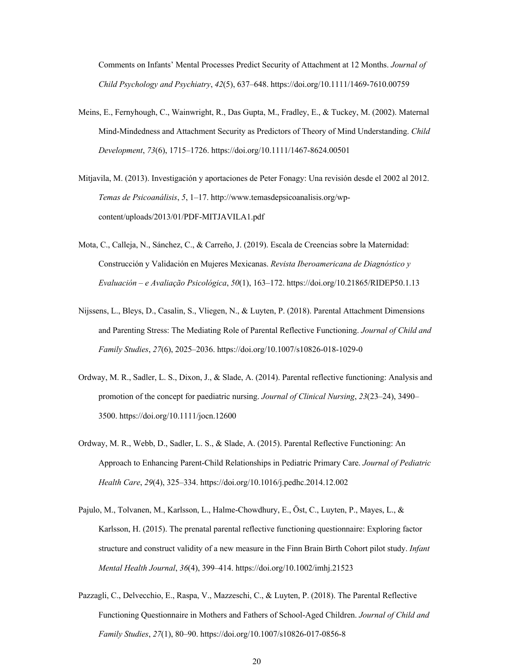Comments on Infants' Mental Processes Predict Security of Attachment at 12 Months. *Journal of Child Psychology and Psychiatry*, *42*(5), 637–648. https://doi.org/10.1111/1469-7610.00759

- Meins, E., Fernyhough, C., Wainwright, R., Das Gupta, M., Fradley, E., & Tuckey, M. (2002). Maternal Mind-Mindedness and Attachment Security as Predictors of Theory of Mind Understanding. *Child Development*, *73*(6), 1715–1726. https://doi.org/10.1111/1467-8624.00501
- Mitjavila, M. (2013). Investigación y aportaciones de Peter Fonagy: Una revisión desde el 2002 al 2012. *Temas de Psicoanálisis*, *5*, 1–17. http://www.temasdepsicoanalisis.org/wpcontent/uploads/2013/01/PDF-MITJAVILA1.pdf
- Mota, C., Calleja, N., Sánchez, C., & Carreño, J. (2019). Escala de Creencias sobre la Maternidad: Construcción y Validación en Mujeres Mexicanas. *Revista Iberoamericana de Diagnóstico y Evaluación – e Avaliação Psicológica*, *50*(1), 163–172. https://doi.org/10.21865/RIDEP50.1.13
- Nijssens, L., Bleys, D., Casalin, S., Vliegen, N., & Luyten, P. (2018). Parental Attachment Dimensions and Parenting Stress: The Mediating Role of Parental Reflective Functioning. *Journal of Child and Family Studies*, *27*(6), 2025–2036. https://doi.org/10.1007/s10826-018-1029-0
- Ordway, M. R., Sadler, L. S., Dixon, J., & Slade, A. (2014). Parental reflective functioning: Analysis and promotion of the concept for paediatric nursing. *Journal of Clinical Nursing*, *23*(23–24), 3490– 3500. https://doi.org/10.1111/jocn.12600
- Ordway, M. R., Webb, D., Sadler, L. S., & Slade, A. (2015). Parental Reflective Functioning: An Approach to Enhancing Parent-Child Relationships in Pediatric Primary Care. *Journal of Pediatric Health Care*, *29*(4), 325–334. https://doi.org/10.1016/j.pedhc.2014.12.002
- Pajulo, M., Tolvanen, M., Karlsson, L., Halme-Chowdhury, E., Öst, C., Luyten, P., Mayes, L., & Karlsson, H. (2015). The prenatal parental reflective functioning questionnaire: Exploring factor structure and construct validity of a new measure in the Finn Brain Birth Cohort pilot study. *Infant Mental Health Journal*, *36*(4), 399–414. https://doi.org/10.1002/imhj.21523
- Pazzagli, C., Delvecchio, E., Raspa, V., Mazzeschi, C., & Luyten, P. (2018). The Parental Reflective Functioning Questionnaire in Mothers and Fathers of School-Aged Children. *Journal of Child and Family Studies*, *27*(1), 80–90. https://doi.org/10.1007/s10826-017-0856-8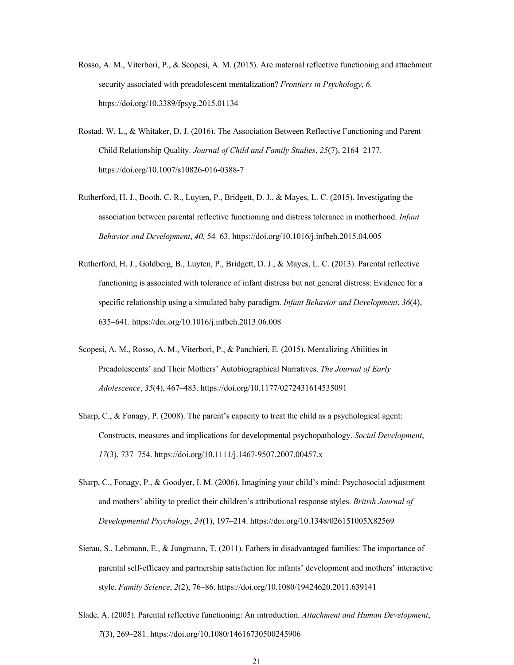- Rosso, A. M., Viterbori, P., & Scopesi, A. M. (2015). Are maternal reflective functioning and attachment security associated with preadolescent mentalization? *Frontiers in Psychology*, *6*. https://doi.org/10.3389/fpsyg.2015.01134
- Rostad, W. L., & Whitaker, D. J. (2016). The Association Between Reflective Functioning and Parent– Child Relationship Quality. *Journal of Child and Family Studies*, *25*(7), 2164–2177. https://doi.org/10.1007/s10826-016-0388-7
- Rutherford, H. J., Booth, C. R., Luyten, P., Bridgett, D. J., & Mayes, L. C. (2015). Investigating the association between parental reflective functioning and distress tolerance in motherhood. *Infant Behavior and Development*, *40*, 54–63. https://doi.org/10.1016/j.infbeh.2015.04.005
- Rutherford, H. J., Goldberg, B., Luyten, P., Bridgett, D. J., & Mayes, L. C. (2013). Parental reflective functioning is associated with tolerance of infant distress but not general distress: Evidence for a specific relationship using a simulated baby paradigm. *Infant Behavior and Development*, *36*(4), 635–641. https://doi.org/10.1016/j.infbeh.2013.06.008
- Scopesi, A. M., Rosso, A. M., Viterbori, P., & Panchieri, E. (2015). Mentalizing Abilities in Preadolescents' and Their Mothers' Autobiographical Narratives. *The Journal of Early Adolescence*, *35*(4), 467–483. https://doi.org/10.1177/0272431614535091
- Sharp, C., & Fonagy, P. (2008). The parent's capacity to treat the child as a psychological agent: Constructs, measures and implications for developmental psychopathology. *Social Development*, *17*(3), 737–754. https://doi.org/10.1111/j.1467-9507.2007.00457.x
- Sharp, C., Fonagy, P., & Goodyer, I. M. (2006). Imagining your child's mind: Psychosocial adjustment and mothers' ability to predict their children's attributional response styles. *British Journal of Developmental Psychology*, *24*(1), 197–214. https://doi.org/10.1348/026151005X82569
- Sierau, S., Lehmann, E., & Jungmann, T. (2011). Fathers in disadvantaged families: The importance of parental self-efficacy and partnership satisfaction for infants' development and mothers' interactive style. *Family Science*, *2*(2), 76–86. https://doi.org/10.1080/19424620.2011.639141
- Slade, A. (2005). Parental reflective functioning: An introduction. *Attachment and Human Development*, *7*(3), 269–281. https://doi.org/10.1080/14616730500245906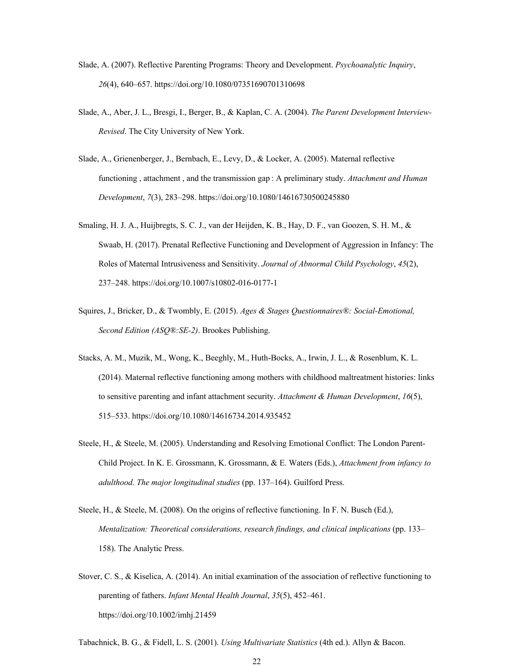- Slade, A. (2007). Reflective Parenting Programs: Theory and Development. *Psychoanalytic Inquiry*, *26*(4), 640–657. https://doi.org/10.1080/07351690701310698
- Slade, A., Aber, J. L., Bresgi, I., Berger, B., & Kaplan, C. A. (2004). *The Parent Development Interview-Revised*. The City University of New York.
- Slade, A., Grienenberger, J., Bernbach, E., Levy, D., & Locker, A. (2005). Maternal reflective functioning , attachment , and the transmission gap : A preliminary study. *Attachment and Human Development*, *7*(3), 283–298. https://doi.org/10.1080/14616730500245880
- Smaling, H. J. A., Huijbregts, S. C. J., van der Heijden, K. B., Hay, D. F., van Goozen, S. H. M., & Swaab, H. (2017). Prenatal Reflective Functioning and Development of Aggression in Infancy: The Roles of Maternal Intrusiveness and Sensitivity. *Journal of Abnormal Child Psychology*, *45*(2), 237–248. https://doi.org/10.1007/s10802-016-0177-1
- Squires, J., Bricker, D., & Twombly, E. (2015). *Ages & Stages Questionnaires®: Social-Emotional, Second Edition (ASQ®:SE-2)*. Brookes Publishing.
- Stacks, A. M., Muzik, M., Wong, K., Beeghly, M., Huth-Bocks, A., Irwin, J. L., & Rosenblum, K. L. (2014). Maternal reflective functioning among mothers with childhood maltreatment histories: links to sensitive parenting and infant attachment security. *Attachment & Human Development*, *16*(5), 515–533. https://doi.org/10.1080/14616734.2014.935452
- Steele, H., & Steele, M. (2005). Understanding and Resolving Emotional Conflict: The London Parent-Child Project. In K. E. Grossmann, K. Grossmann, & E. Waters (Eds.), *Attachment from infancy to adulthood. The major longitudinal studies* (pp. 137–164). Guilford Press.
- Steele, H., & Steele, M. (2008). On the origins of reflective functioning. In F. N. Busch (Ed.), *Mentalization: Theoretical considerations, research findings, and clinical implications* (pp. 133– 158). The Analytic Press.
- Stover, C. S., & Kiselica, A. (2014). An initial examination of the association of reflective functioning to parenting of fathers. *Infant Mental Health Journal*, *35*(5), 452–461. https://doi.org/10.1002/imhj.21459

Tabachnick, B. G., & Fidell, L. S. (2001). *Using Multivariate Statistics* (4th ed.). Allyn & Bacon.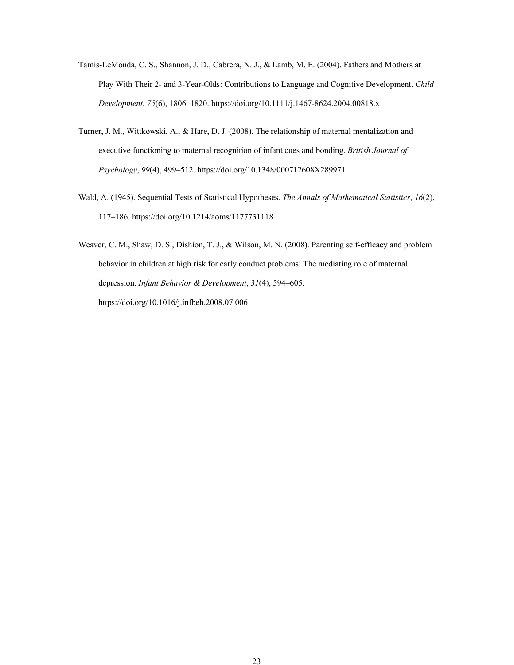- Tamis-LeMonda, C. S., Shannon, J. D., Cabrera, N. J., & Lamb, M. E. (2004). Fathers and Mothers at Play With Their 2- and 3-Year-Olds: Contributions to Language and Cognitive Development. *Child Development*, *75*(6), 1806–1820. https://doi.org/10.1111/j.1467-8624.2004.00818.x
- Turner, J. M., Wittkowski, A., & Hare, D. J. (2008). The relationship of maternal mentalization and executive functioning to maternal recognition of infant cues and bonding. *British Journal of Psychology*, *99*(4), 499–512. https://doi.org/10.1348/000712608X289971
- Wald, A. (1945). Sequential Tests of Statistical Hypotheses. *The Annals of Mathematical Statistics*, *16*(2), 117–186. https://doi.org/10.1214/aoms/1177731118
- Weaver, C. M., Shaw, D. S., Dishion, T. J., & Wilson, M. N. (2008). Parenting self-efficacy and problem behavior in children at high risk for early conduct problems: The mediating role of maternal depression. *Infant Behavior & Development*, *31*(4), 594–605. https://doi.org/10.1016/j.infbeh.2008.07.006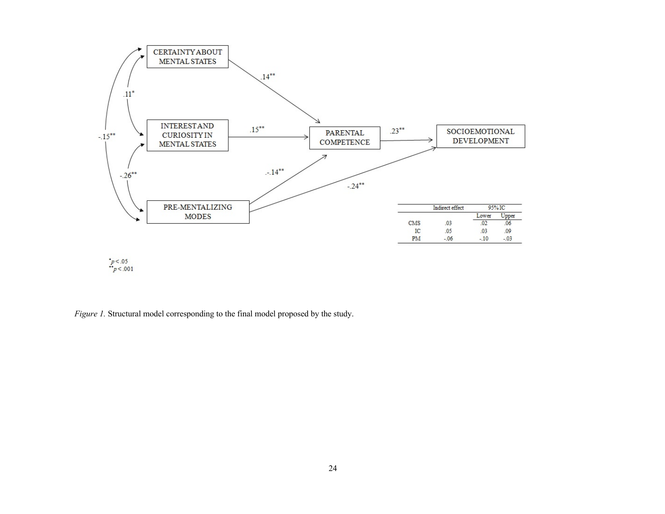

 $\begin{array}{c} \n p < .05 \\
\n p < .001\n \end{array}$ 

*Figure 1.* Structural model corresponding to the final model proposed by the study.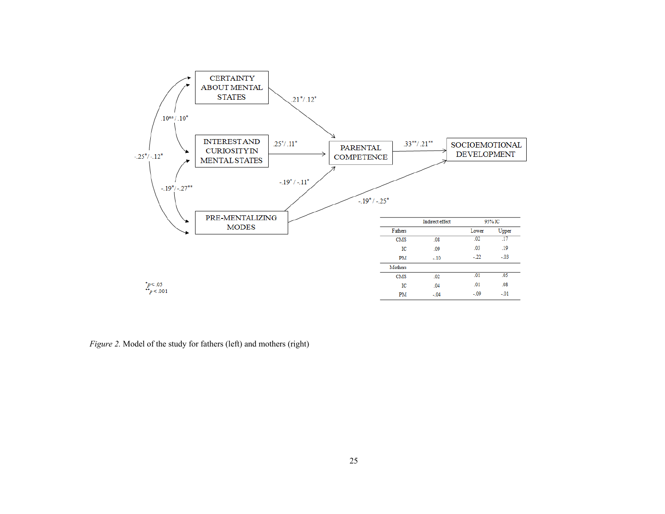

*Figure 2.* Model of the study for fathers (left) and mothers (right)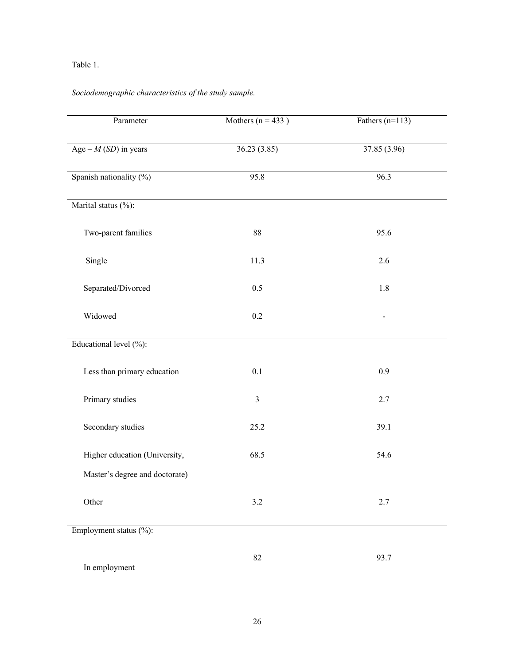# Table 1.

# *Sociodemographic characteristics of the study sample.*

| Parameter                      | Mothers $(n = 433)$ | Fathers $(n=113)$ |  |
|--------------------------------|---------------------|-------------------|--|
| Age $-M(SD)$ in years          | 36.23(3.85)         | 37.85 (3.96)      |  |
| Spanish nationality (%)        | 95.8                | 96.3              |  |
| Marital status (%):            |                     |                   |  |
| Two-parent families            | $88\,$              | 95.6              |  |
| Single                         | 11.3                | 2.6               |  |
| Separated/Divorced             | 0.5                 | 1.8               |  |
| Widowed                        | 0.2                 |                   |  |
| Educational level (%):         |                     |                   |  |
| Less than primary education    | 0.1                 | 0.9               |  |
| Primary studies                | $\mathfrak{Z}$      | 2.7               |  |
| Secondary studies              | 25.2                | 39.1              |  |
| Higher education (University,  | 68.5                | 54.6              |  |
| Master's degree and doctorate) |                     |                   |  |
| Other                          | $3.2\,$             | 2.7               |  |
| Employment status (%):         |                     |                   |  |
| In employment                  | 82                  | 93.7              |  |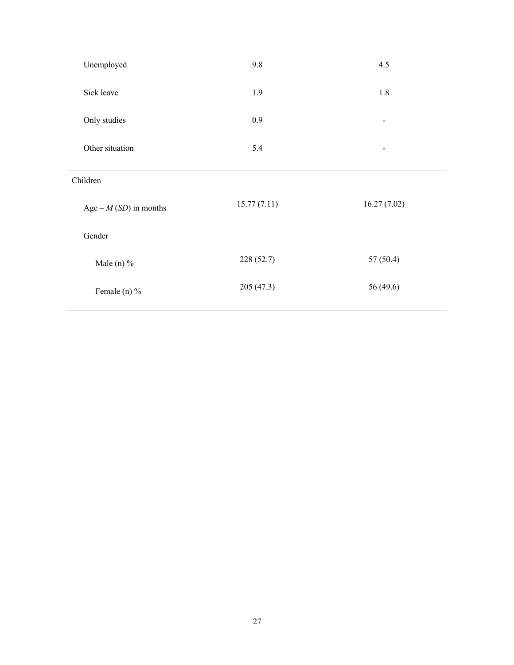| Unemployed              | 9.8         | 4.5                          |
|-------------------------|-------------|------------------------------|
| Sick leave              | 1.9         | 1.8                          |
| Only studies            | 0.9         | $\qquad \qquad \blacksquare$ |
| Other situation         | 5.4         | -                            |
| Children                |             |                              |
| Age – $M(SD)$ in months | 15.77(7.11) | 16.27(7.02)                  |
| Gender                  |             |                              |
| Male (n) $%$            | 228 (52.7)  | 57(50.4)                     |
| Female (n) %            | 205 (47.3)  | 56 (49.6)                    |
|                         |             |                              |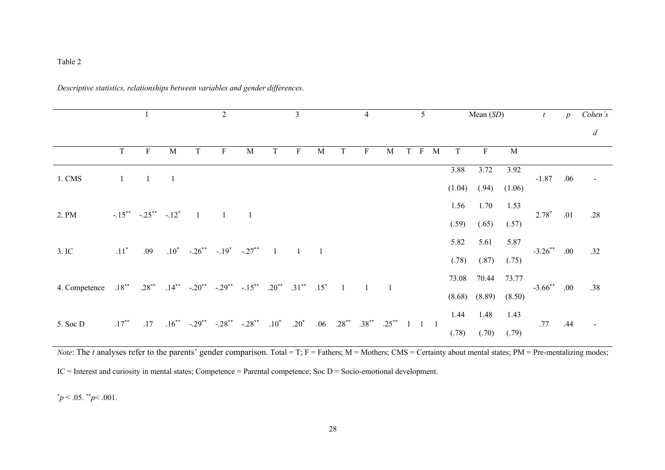## Table 2

|               |              |                                      |                |                                          | 2                   |                                                                                                      |        | 3           |   |                           | 4                   |   |     | 5                                                           |             |             | Mean $(SD)$       |        |                | $\boldsymbol{p}$ | Cohen's          |
|---------------|--------------|--------------------------------------|----------------|------------------------------------------|---------------------|------------------------------------------------------------------------------------------------------|--------|-------------|---|---------------------------|---------------------|---|-----|-------------------------------------------------------------|-------------|-------------|-------------------|--------|----------------|------------------|------------------|
|               |              |                                      |                |                                          |                     |                                                                                                      |        |             |   |                           |                     |   |     |                                                             |             |             |                   |        |                |                  | $\boldsymbol{d}$ |
|               | T.           | $\,$ F                               | M              | T                                        | $\mathbf{F}$        | M                                                                                                    | T      | F           | M | T                         | $\mathbf{F}$        | М | T F |                                                             | $\mathbf M$ | $\mathbf T$ | $\, {\bf F}$      | M      |                |                  |                  |
| 1. CMS        | $\mathbf{1}$ | $\begin{array}{ccc} & 1 \end{array}$ | $\overline{1}$ |                                          |                     |                                                                                                      |        |             |   |                           |                     |   |     |                                                             |             | 3.88        | 3.72              | 3.92   | $-1.87$        | .06              |                  |
|               |              |                                      |                |                                          |                     |                                                                                                      |        |             |   |                           |                     |   |     |                                                             |             | (1.04)      | (.94)             | (1.06) |                |                  |                  |
| 2. PM         |              | $-.15$ ** $-.25$ ** $-.12$ *         |                | $\overline{1}$                           | $\sim$ 1            | $\overline{1}$                                                                                       |        |             |   |                           |                     |   |     |                                                             |             | 1.56        | 1.70              | 1.53   | $2.78*$        | .01              | .28              |
|               |              |                                      |                |                                          |                     |                                                                                                      |        |             |   |                           |                     |   |     |                                                             |             | (.59)       | (.65)             | (.57)  |                |                  |                  |
| 3. IC         | $.11^*$      | .09                                  |                | $.10^*$ $-.26^{**}$ $-.19^*$ $-.27^{**}$ |                     |                                                                                                      | $-1$   | $1 \quad 1$ |   |                           |                     |   |     |                                                             |             | 5.82        | 5.61              | 5.87   | $-3.26$ ** .00 |                  |                  |
|               |              |                                      |                |                                          |                     |                                                                                                      |        |             |   |                           |                     |   |     |                                                             |             | (.78)       | (.87)             | (.75)  |                |                  | .32              |
|               |              |                                      |                |                                          |                     | $.18^{**}$ $.28^{**}$ $.14^{**}$ $-.20^{**}$ $-.29^{**}$ $-.15^{**}$ $.20^{**}$ $.31^{**}$ $.15^{*}$ |        |             |   |                           |                     |   |     |                                                             |             | 73.08       | 70.44             | 73.77  | $-3.66$ ** .00 |                  |                  |
| 4. Competence |              |                                      |                |                                          |                     |                                                                                                      |        |             |   |                           | $1 \quad 1 \quad 1$ |   |     |                                                             |             |             | $(8.68)$ $(8.89)$ | (8.50) |                |                  | .38              |
|               |              |                                      |                |                                          |                     |                                                                                                      |        |             |   |                           |                     |   |     |                                                             |             | 1.44        | 1.48              | 1.43   |                |                  |                  |
| 5. Soc D      | $.17***$     | .17                                  |                | $.16^{**}$ $-.29^{**}$                   | $-.28$ ** $-.28$ ** |                                                                                                      | $.10*$ | $.20^*$     |   | $.06$ $.28$ <sup>**</sup> | $.38***$            |   |     | $.25$ <sup>**</sup> 1 1 1<br>.77<br>(.78)<br>(.70)<br>(.79) | .44         |             |                   |        |                |                  |                  |

*Descriptive statistics, relationships between variables and gender differences.* 

*Note*: The *t* analyses refer to the parents' gender comparison. Total = T; F = Fathers; M = Mothers; CMS = Certainty about mental states; PM = Pre-mentalizing modes; IC = Interest and curiosity in mental states; Competence = Parental competence; Soc D = Socio-emotional development.

 $\mu$ <sup>\*</sup> $p$  < .05.  $\mu$ <sup>\*</sup> $p$  < .001.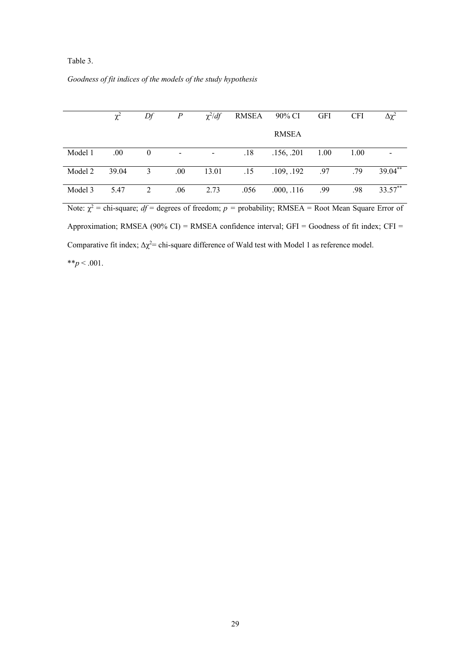### Table 3.

| Goodness of fit indices of the models of the study hypothesis |  |  |  |  |  |
|---------------------------------------------------------------|--|--|--|--|--|
|                                                               |  |  |  |  |  |

|         | $\chi^2$ | Df           | $\boldsymbol{P}$         | $\chi^2/df$ | RMSEA | 90% CI       | <b>GFI</b> | <b>CFI</b> | $\Delta \chi^2$ |
|---------|----------|--------------|--------------------------|-------------|-------|--------------|------------|------------|-----------------|
|         |          |              |                          |             |       | <b>RMSEA</b> |            |            |                 |
| Model 1 | .00.     | $\mathbf{0}$ | $\overline{\phantom{a}}$ |             | .18   | .156, .201   | 1.00       | 1.00       |                 |
| Model 2 | 39.04    | 3            | .00.                     | 13.01       | .15   | .109, .192   | .97        | .79        | 39.04**         |
| Model 3 | 5.47     | 2            | .06                      | 2.73        | .056  | .000, .116   | .99        | .98        | 33.57**         |

Note:  $\chi^2$  = chi-square; *df* = degrees of freedom; *p* = probability; RMSEA = Root Mean Square Error of Approximation; RMSEA (90% CI) = RMSEA confidence interval; GFI = Goodness of fit index; CFI = Comparative fit index;  $\Delta \chi^2$  chi-square difference of Wald test with Model 1 as reference model. \*\* $p < .001$ .